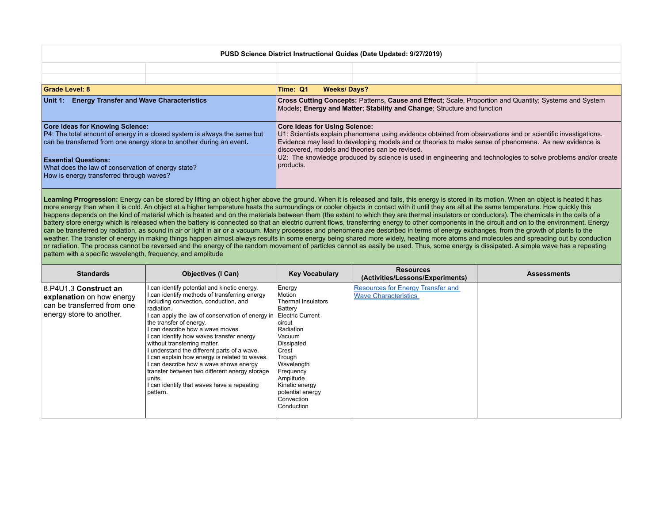| PUSD Science District Instructional Guides (Date Updated: 9/27/2019)                                                                                                                       |  |                                                                                                                                                                                                                                                                                                                                                                                                                                                |  |  |
|--------------------------------------------------------------------------------------------------------------------------------------------------------------------------------------------|--|------------------------------------------------------------------------------------------------------------------------------------------------------------------------------------------------------------------------------------------------------------------------------------------------------------------------------------------------------------------------------------------------------------------------------------------------|--|--|
|                                                                                                                                                                                            |  |                                                                                                                                                                                                                                                                                                                                                                                                                                                |  |  |
|                                                                                                                                                                                            |  |                                                                                                                                                                                                                                                                                                                                                                                                                                                |  |  |
| <b>Grade Level: 8</b>                                                                                                                                                                      |  | Time: Q1<br><b>Weeks/Days?</b>                                                                                                                                                                                                                                                                                                                                                                                                                 |  |  |
| <b>Energy Transfer and Wave Characteristics</b><br>Unit 1:                                                                                                                                 |  | Cross Cutting Concepts: Patterns, Cause and Effect; Scale, Proportion and Quantity; Systems and System<br>Models; Energy and Matter; Stability and Change; Structure and function                                                                                                                                                                                                                                                              |  |  |
| <b>Core Ideas for Knowing Science:</b><br>P4: The total amount of energy in a closed system is always the same but<br>can be transferred from one energy store to another during an event. |  | <b>Core Ideas for Using Science:</b><br>U1: Scientists explain phenomena using evidence obtained from observations and or scientific investigations.<br>Evidence may lead to developing models and or theories to make sense of phenomena. As new evidence is<br>discovered, models and theories can be revised.<br>U2: The knowledge produced by science is used in engineering and technologies to solve problems and/or create<br>products. |  |  |
| <b>Essential Questions:</b><br>What does the law of conservation of energy state?<br>How is energy transferred through waves?                                                              |  |                                                                                                                                                                                                                                                                                                                                                                                                                                                |  |  |

Learning Prrogression: Energy can be stored by lifting an object higher above the ground. When it is released and falls, this energy is stored in its motion. When an object is heated it has more energy than when it is cold. An object at a higher temperature heats the surroundings or cooler objects in contact with it until they are all at the same temperature. How quickly this happens depends on the kind of material which is heated and on the materials between them (the extent to which they are thermal insulators or conductors). The chemicals in the cells of a battery store energy which is released when the battery is connected so that an electric current flows, transferring energy to other components in the circuit and on to the environment. Energy can be transferred by radiation, as sound in air or light in air or a vacuum. Many processes and phenomena are described in terms of energy exchanges, from the growth of plants to the weather. The transfer of energy in making things happen almost always results in some energy being shared more widely, heating more atoms and molecules and spreading out by conduction or radiation. The process cannot be reversed and the energy of the random movement of particles cannot as easily be used. Thus, some energy is dissipated. A simple wave has a repeating pattern with a specific wavelength, frequency, and amplitude

| <b>Standards</b>                                                                                              | <b>Objectives (I Can)</b>                                                                                                                                                                                                                                                                                                                                                                                                                                                                                                                                                                                           | <b>Key Vocabulary</b>                                                                                                                                                                                                                                    | <b>Resources</b><br>(Activities/Lessons/Experiments)                    | <b>Assessments</b> |
|---------------------------------------------------------------------------------------------------------------|---------------------------------------------------------------------------------------------------------------------------------------------------------------------------------------------------------------------------------------------------------------------------------------------------------------------------------------------------------------------------------------------------------------------------------------------------------------------------------------------------------------------------------------------------------------------------------------------------------------------|----------------------------------------------------------------------------------------------------------------------------------------------------------------------------------------------------------------------------------------------------------|-------------------------------------------------------------------------|--------------------|
| 8.P4U1.3 Construct an<br>explanation on how energy<br>can be transferred from one<br>energy store to another. | I can identify potential and kinetic energy.<br>I can identify methods of transferring energy<br>including convection, conduction, and<br>radiation.<br>I can apply the law of conservation of energy in<br>the transfer of energy.<br>I can describe how a wave moves.<br>I can identify how waves transfer energy<br>without transferring matter.<br>I understand the different parts of a wave.<br>I can explain how energy is related to waves.<br>I can describe how a wave shows energy<br>transfer between two different energy storage<br>∣units.<br>I can identify that waves have a repeating<br>pattern. | Energy<br>Motion<br><b>Thermal Insulators</b><br>Battery<br>Electric Current<br>circut<br>Radiation<br>Vacuum<br>Dissipated<br>Crest<br>Trough<br>Wavelength<br>Frequency<br>Amplitude<br>Kinetic energy<br>potential energy<br>Convection<br>Conduction | <b>Resources for Energy Transfer and</b><br><b>Wave Characteristics</b> |                    |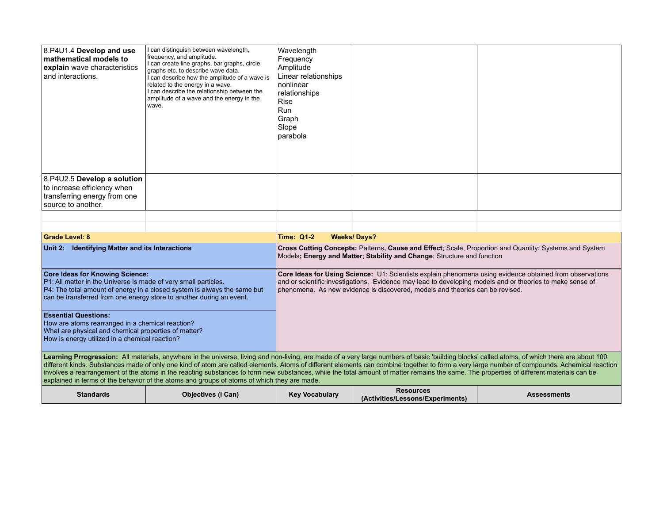| $ 8.P4U1.4$ Develop and use<br>mathematical models to<br>explain wave characteristics<br>and interactions.       | I can distinguish between wavelength,<br>frequency, and amplitude.<br>I can create line graphs, bar graphs, circle<br>graphs etc. to describe wave data.<br>I can describe how the amplitude of a wave is<br>related to the energy in a wave.<br>I can describe the relationship between the<br>amplitude of a wave and the energy in the<br>wave. | Wavelength<br>Frequency<br>Amplitude<br>Linear relationships<br>Inonlinear<br>relationships<br>Rise<br>Run<br>Graph<br>Slope<br> parabola |  |
|------------------------------------------------------------------------------------------------------------------|----------------------------------------------------------------------------------------------------------------------------------------------------------------------------------------------------------------------------------------------------------------------------------------------------------------------------------------------------|-------------------------------------------------------------------------------------------------------------------------------------------|--|
| 8.P4U2.5 Develop a solution<br>to increase efficiency when<br>transferring energy from one<br>source to another. |                                                                                                                                                                                                                                                                                                                                                    |                                                                                                                                           |  |

| <b>Grade Level: 8</b>                                                                                                                                                                                                                                                                                                                                                                                                                                                                                                                                                                     | <b>Weeks/Days?</b><br><b>Time: Q1-2</b>                                                                                                                                                                                                                                                                |  |
|-------------------------------------------------------------------------------------------------------------------------------------------------------------------------------------------------------------------------------------------------------------------------------------------------------------------------------------------------------------------------------------------------------------------------------------------------------------------------------------------------------------------------------------------------------------------------------------------|--------------------------------------------------------------------------------------------------------------------------------------------------------------------------------------------------------------------------------------------------------------------------------------------------------|--|
| <b>Identifying Matter and its Interactions</b><br>Unit 2:                                                                                                                                                                                                                                                                                                                                                                                                                                                                                                                                 | Cross Cutting Concepts: Patterns, Cause and Effect: Scale, Proportion and Quantity: Systems and System<br>Models: Energy and Matter: Stability and Change: Structure and function                                                                                                                      |  |
| <b>Core Ideas for Knowing Science:</b><br>P1: All matter in the Universe is made of very small particles.<br>P4: The total amount of energy in a closed system is always the same but<br>can be transferred from one energy store to another during an event.                                                                                                                                                                                                                                                                                                                             | Core Ideas for Using Science: U1: Scientists explain phenomena using evidence obtained from observations<br>and or scientific investigations. Evidence may lead to developing models and or theories to make sense of<br>phenomena. As new evidence is discovered, models and theories can be revised. |  |
| <b>Essential Questions:</b><br>How are atoms rearranged in a chemical reaction?<br>What are physical and chemical properties of matter?<br>How is energy utilized in a chemical reaction?                                                                                                                                                                                                                                                                                                                                                                                                 |                                                                                                                                                                                                                                                                                                        |  |
| Learning Prrogression: All materials, anywhere in the universe, living and non-living, are made of a very large numbers of basic 'building blocks' called atoms, of which there are about 100<br>different kinds. Substances made of only one kind of atom are called elements. Atoms of different elements can combine together to form a very large number of compounds. Achemical reaction<br>involves a rearrangement of the atoms in the reacting substances to form new substances, while the total amount of matter remains the same. The properties of different materials can be |                                                                                                                                                                                                                                                                                                        |  |

explained in terms of the behavior of the atoms and groups of atoms of which they are made.

| <b>Standards</b> | (I Can)<br><b>Objectives</b> | <b>Key Vocabulary</b> | Resources<br>Activities/Lessons/Experiments) | Assessments |
|------------------|------------------------------|-----------------------|----------------------------------------------|-------------|
|------------------|------------------------------|-----------------------|----------------------------------------------|-------------|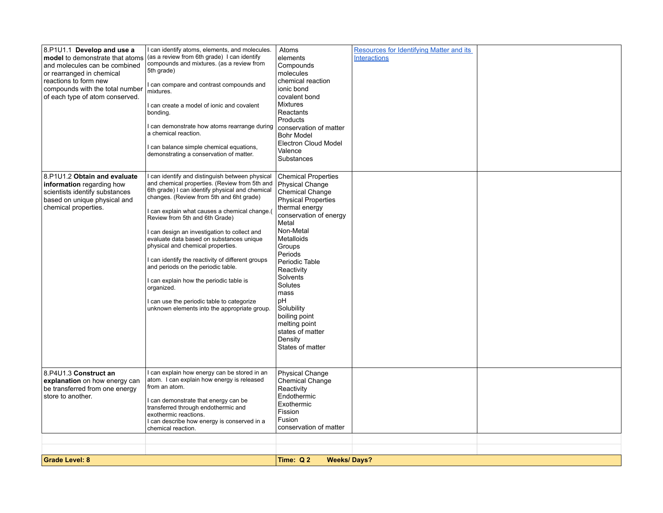| 8.P1U1.1 Develop and use a<br>model to demonstrate that atoms<br>and molecules can be combined<br>or rearranged in chemical<br>reactions to form new<br>compounds with the total number<br>of each type of atom conserved. | I can identify atoms, elements, and molecules.<br>(as a review from 6th grade) I can identify<br>compounds and mixtures. (as a review from<br>5th grade)<br>can compare and contrast compounds and<br>mixtures.<br>can create a model of ionic and covalent<br>bonding.<br>can demonstrate how atoms rearrange during<br>a chemical reaction.<br>can balance simple chemical equations,<br>demonstrating a conservation of matter.                                                                                                                                                                                                                                  | Atoms<br>elements<br>Compounds<br>molecules<br>chemical reaction<br>ionic bond<br>covalent bond<br><b>Mixtures</b><br>Reactants<br>Products<br>conservation of matter<br><b>Bohr Model</b><br><b>Electron Cloud Model</b><br>Valence<br>Substances                                                                                                                          | Resources for Identifying Matter and its<br><b>Interactions</b> |  |
|----------------------------------------------------------------------------------------------------------------------------------------------------------------------------------------------------------------------------|---------------------------------------------------------------------------------------------------------------------------------------------------------------------------------------------------------------------------------------------------------------------------------------------------------------------------------------------------------------------------------------------------------------------------------------------------------------------------------------------------------------------------------------------------------------------------------------------------------------------------------------------------------------------|-----------------------------------------------------------------------------------------------------------------------------------------------------------------------------------------------------------------------------------------------------------------------------------------------------------------------------------------------------------------------------|-----------------------------------------------------------------|--|
| 8.P1U1.2 Obtain and evaluate<br>information regarding how<br>scientists identify substances<br>based on unique physical and<br>chemical properties.                                                                        | I can identify and distinguish between physical<br>and chemical properties. (Review from 5th and<br>6th grade) I can identify physical and chemical<br>changes. (Review from 5th and 6ht grade)<br>I can explain what causes a chemical change.(<br>Review from 5th and 6th Grade)<br>I can design an investigation to collect and<br>evaluate data based on substances unique<br>physical and chemical properties.<br>I can identify the reactivity of different groups<br>and periods on the periodic table.<br>I can explain how the periodic table is<br>organized.<br>can use the periodic table to categorize<br>unknown elements into the appropriate group. | <b>Chemical Properties</b><br>Physical Change<br>Chemical Change<br><b>Physical Properties</b><br>thermal energy<br>conservation of energy<br>Metal<br>Non-Metal<br>Metalloids<br>Groups<br>Periods<br>Periodic Table<br>Reactivity<br>Solvents<br>Solutes<br>mass<br>рH<br>Solubility<br>boiling point<br>melting point<br>states of matter<br>Density<br>States of matter |                                                                 |  |
| 8.P4U1.3 Construct an<br>explanation on how energy can<br>be transferred from one energy<br>store to another.                                                                                                              | can explain how energy can be stored in an<br>atom. I can explain how energy is released<br>from an atom.<br>I can demonstrate that energy can be<br>transferred through endothermic and<br>exothermic reactions.<br>I can describe how energy is conserved in a<br>chemical reaction.                                                                                                                                                                                                                                                                                                                                                                              | Physical Change<br>Chemical Change<br>Reactivity<br>Endothermic<br>Exothermic<br>Fission<br>Fusion<br>conservation of matter                                                                                                                                                                                                                                                |                                                                 |  |
|                                                                                                                                                                                                                            |                                                                                                                                                                                                                                                                                                                                                                                                                                                                                                                                                                                                                                                                     |                                                                                                                                                                                                                                                                                                                                                                             |                                                                 |  |
| <b>Grade Level: 8</b>                                                                                                                                                                                                      |                                                                                                                                                                                                                                                                                                                                                                                                                                                                                                                                                                                                                                                                     | Time: Q2<br><b>Weeks/Days?</b>                                                                                                                                                                                                                                                                                                                                              |                                                                 |  |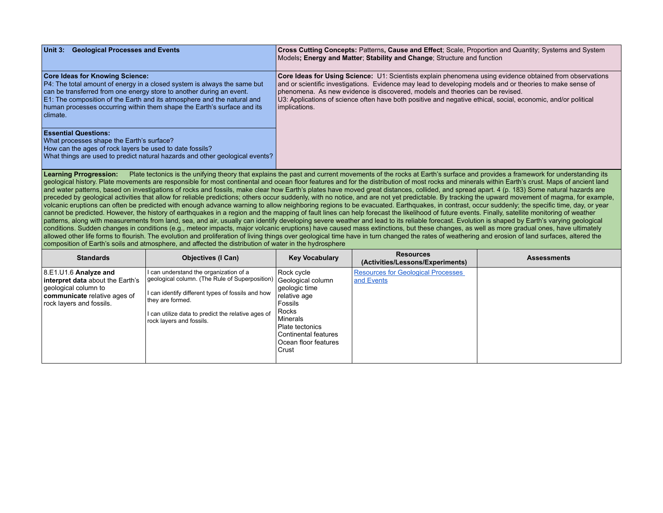| Unit 3: Geological Processes and Events                                                                                                                                                                                                                                                                                                                      | Cross Cutting Concepts: Patterns, Cause and Effect; Scale, Proportion and Quantity; Systems and System<br>Models; Energy and Matter; Stability and Change; Structure and function                                                                                                                                                                                                                                                        |
|--------------------------------------------------------------------------------------------------------------------------------------------------------------------------------------------------------------------------------------------------------------------------------------------------------------------------------------------------------------|------------------------------------------------------------------------------------------------------------------------------------------------------------------------------------------------------------------------------------------------------------------------------------------------------------------------------------------------------------------------------------------------------------------------------------------|
| <b>Core Ideas for Knowing Science:</b><br>P4: The total amount of energy in a closed system is always the same but<br>can be transferred from one energy store to another during an event.<br>E1: The composition of the Earth and its atmosphere and the natural and<br>human processes occurring within them shape the Earth's surface and its<br>climate. | Core Ideas for Using Science: U1: Scientists explain phenomena using evidence obtained from observations<br>and or scientific investigations. Evidence may lead to developing models and or theories to make sense of<br>phenomena. As new evidence is discovered, models and theories can be revised.<br>U3: Applications of science often have both positive and negative ethical, social, economic, and/or political<br>implications. |
| <b>Essential Questions:</b><br>What processes shape the Earth's surface?<br>How can the ages of rock layers be used to date fossils?<br>What things are used to predict natural hazards and other geological events?                                                                                                                                         |                                                                                                                                                                                                                                                                                                                                                                                                                                          |

Learning Prrogression: Plate tectonics is the unifying theory that explains the past and current movements of the rocks at Earth's surface and provides a framework for understanding its geological history. Plate movements are responsible for most continental and ocean floor features and for the distribution of most rocks and minerals within Earth's crust. Maps of ancient land and water patterns, based on investigations of rocks and fossils, make clear how Earth's plates have moved great distances, collided, and spread apart. 4 (p. 183) Some natural hazards are preceded by geological activities that allow for reliable predictions; others occur suddenly, with no notice, and are not yet predictable. By tracking the upward movement of magma, for example, volcanic eruptions can often be predicted with enough advance warning to allow neighboring regions to be evacuated. Earthquakes, in contrast, occur suddenly; the specific time, day, or year cannot be predicted. However, the history of earthquakes in a region and the mapping of fault lines can help forecast the likelihood of future events. Finally, satellite monitoring of weather patterns, along with measurements from land, sea, and air, usually can identify developing severe weather and lead to its reliable forecast. Evolution is shaped by Earth's varying geological conditions. Sudden changes in conditions (e.g., meteor impacts, major volcanic eruptions) have caused mass extinctions, but these changes, as well as more gradual ones, have ultimately allowed other life forms to flourish. The evolution and proliferation of living things over geological time have in turn changed the rates of weathering and erosion of land surfaces, altered the composition of Earth's soils and atmosphere, and affected the distribution of water in the hydrosphere

| <b>Standards</b>                                                                                                                                      | <b>Objectives (I Can)</b>                                                                                                                                                                                                                           | <b>Key Vocabulary</b>                                                                                                                                                        | <b>Resources</b><br>(Activities/Lessons/Experiments)    | <b>Assessments</b> |
|-------------------------------------------------------------------------------------------------------------------------------------------------------|-----------------------------------------------------------------------------------------------------------------------------------------------------------------------------------------------------------------------------------------------------|------------------------------------------------------------------------------------------------------------------------------------------------------------------------------|---------------------------------------------------------|--------------------|
| $ 8E1U1.6$ Analyze and<br>interpret data about the Earth's<br>geological column to<br><b>communicate</b> relative ages of<br>rock layers and fossils. | I can understand the organization of a<br>geological column. (The Rule of Superposition)<br>I can identify different types of fossils and how<br>they are formed.<br>I can utilize data to predict the relative ages of<br>rock layers and fossils. | Rock cycle<br>Geological column<br>geologic time<br>relative age<br>Fossils<br>Rocks<br>Minerals<br>Plate tectonics<br>Continental features<br>Ocean floor features<br>Crust | <b>Resources for Geological Processes</b><br>and Events |                    |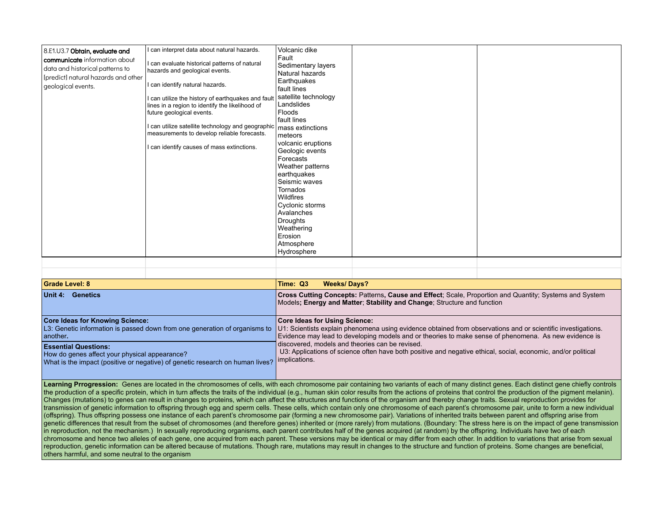| 8.E1.U3.7 Obtain, evaluate and<br><b>communicate</b> information about<br>data and historical patterns to<br>[[predict] natural hazards and other<br>geological events. | I can interpret data about natural hazards.<br>I can evaluate historical patterns of natural<br>hazards and geological events.<br>I can identify natural hazards.<br>I can utilize the history of earthquakes and fault<br>lines in a region to identify the likelihood of<br>future geological events.<br>I can utilize satellite technology and geographic<br>measurements to develop reliable forecasts.<br>I can identify causes of mass extinctions. | Volcanic dike<br>∣Fault<br>Sedimentary layers<br>Natural hazards<br>Earthquakes<br>fault lines<br>satellite technology<br>Landslides<br>Floods<br>fault lines<br>mass extinctions<br>meteors<br>volcanic eruptions<br>Geologic events<br>Forecasts<br>Weather patterns<br>earthquakes<br>Seismic waves<br>Tornados<br>Wildfires<br>Cyclonic storms<br>Avalanches<br>Droughts<br>Weathering<br>Erosion<br>Atmosphere<br>Hydrosphere |  |  |
|-------------------------------------------------------------------------------------------------------------------------------------------------------------------------|-----------------------------------------------------------------------------------------------------------------------------------------------------------------------------------------------------------------------------------------------------------------------------------------------------------------------------------------------------------------------------------------------------------------------------------------------------------|------------------------------------------------------------------------------------------------------------------------------------------------------------------------------------------------------------------------------------------------------------------------------------------------------------------------------------------------------------------------------------------------------------------------------------|--|--|
|-------------------------------------------------------------------------------------------------------------------------------------------------------------------------|-----------------------------------------------------------------------------------------------------------------------------------------------------------------------------------------------------------------------------------------------------------------------------------------------------------------------------------------------------------------------------------------------------------------------------------------------------------|------------------------------------------------------------------------------------------------------------------------------------------------------------------------------------------------------------------------------------------------------------------------------------------------------------------------------------------------------------------------------------------------------------------------------------|--|--|

| <b>Grade Level: 8</b>                                                                                                                                                         | Time: Q3<br><b>Weeks/Days?</b>                                                                                                                                                                                                                                |  |  |
|-------------------------------------------------------------------------------------------------------------------------------------------------------------------------------|---------------------------------------------------------------------------------------------------------------------------------------------------------------------------------------------------------------------------------------------------------------|--|--|
| Unit 4: Genetics                                                                                                                                                              | <b>Cross Cutting Concepts: Patterns, Cause and Effect: Scale, Proportion and Quantity: Systems and System</b><br>Models; Energy and Matter; Stability and Change; Structure and function                                                                      |  |  |
| <b>Core Ideas for Knowing Science:</b><br>$\vert$ L3: Genetic information is passed down from one generation of organisms to $\vert$<br>another.                              | <b>Core Ideas for Using Science:</b><br>U1: Scientists explain phenomena using evidence obtained from observations and or scientific investigations.<br>Evidence may lead to developing models and or theories to make sense of phenomena. As new evidence is |  |  |
| <b>Essential Questions:</b><br>How do genes affect your physical appearance?<br>What is the impact (positive or negative) of genetic research on human lives?   implications. | discovered, models and theories can be revised.<br>U3: Applications of science often have both positive and negative ethical, social, economic, and/or political                                                                                              |  |  |

Learning Prrogression: Genes are located in the chromosomes of cells, with each chromosome pair containing two variants of each of many distinct genes. Each distinct gene chiefly controls the production of a specific protein, which in turn affects the traits of the individual (e.g., human skin color results from the actions of proteins that control the production of the pigment melanin). Changes (mutations) to genes can result in changes to proteins, which can affect the structures and functions of the organism and thereby change traits. Sexual reproduction provides for transmission of genetic information to offspring through egg and sperm cells. These cells, which contain only one chromosome of each parent's chromosome pair, unite to form a new individual (offspring). Thus offspring possess one instance of each parent's chromosome pair (forming a new chromosome pair). Variations of inherited traits between parent and offspring arise from genetic differences that result from the subset of chromosomes (and therefore genes) inherited or (more rarely) from mutations. (Boundary: The stress here is on the impact of gene transmission in reproduction, not the mechanism.) In sexually reproducing organisms, each parent contributes half of the genes acquired (at random) by the offspring. Individuals have two of each chromosome and hence two alleles of each gene, one acquired from each parent. These versions may be identical or may differ from each other. In addition to variations that arise from sexual reproduction, genetic information can be altered because of mutations. Though rare, mutations may result in changes to the structure and function of proteins. Some changes are beneficial, others harmful, and some neutral to the organism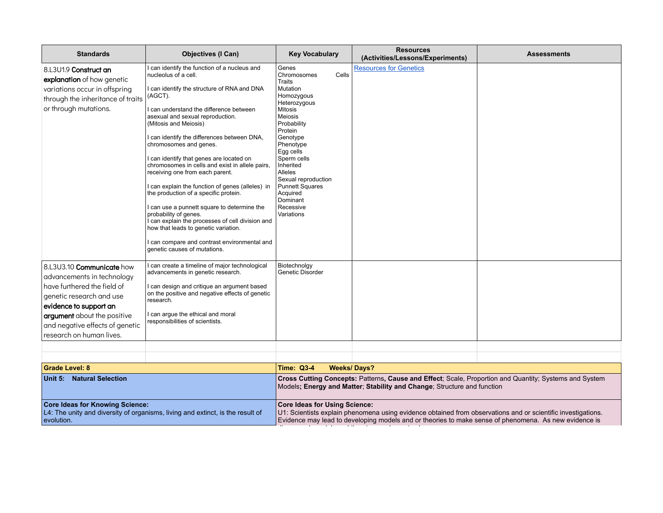| <b>Standards</b>                                                                                                                                                                                                                                                      | <b>Objectives (I Can)</b>                                                                                                                                                                                                                                                                                                                                                                                                                                                                                                                                                                                                                                                                                                                                                                        | <b>Key Vocabulary</b>                                                                                                                                                                                                                                                                                                     | <b>Resources</b><br>(Activities/Lessons/Experiments)                                                  | <b>Assessments</b>                                                                                           |
|-----------------------------------------------------------------------------------------------------------------------------------------------------------------------------------------------------------------------------------------------------------------------|--------------------------------------------------------------------------------------------------------------------------------------------------------------------------------------------------------------------------------------------------------------------------------------------------------------------------------------------------------------------------------------------------------------------------------------------------------------------------------------------------------------------------------------------------------------------------------------------------------------------------------------------------------------------------------------------------------------------------------------------------------------------------------------------------|---------------------------------------------------------------------------------------------------------------------------------------------------------------------------------------------------------------------------------------------------------------------------------------------------------------------------|-------------------------------------------------------------------------------------------------------|--------------------------------------------------------------------------------------------------------------|
| 8.L3U1.9 Construct an<br>explanation of how genetic<br>variations occur in offspring<br>through the inheritance of traits<br>or through mutations.                                                                                                                    | can identify the function of a nucleus and<br>nucleolus of a cell.<br>I can identify the structure of RNA and DNA<br>(AGCT).<br>I can understand the difference between<br>asexual and sexual reproduction.<br>(Mitosis and Meiosis)<br>I can identify the differences between DNA,<br>chromosomes and genes.<br>I can identify that genes are located on<br>chromosomes in cells and exist in allele pairs,<br>receiving one from each parent.<br>I can explain the function of genes (alleles) in<br>the production of a specific protein.<br>I can use a punnett square to determine the<br>probability of genes.<br>I can explain the processes of cell division and<br>how that leads to genetic variation.<br>I can compare and contrast environmental and<br>genetic causes of mutations. | Genes<br>Chromosomes<br>Cells<br>Traits<br>Mutation<br>Homozygous<br>Heterozygous<br><b>Mitosis</b><br>Meiosis<br>Probability<br>Protein<br>Genotype<br>Phenotype<br>Egg cells<br>Sperm cells<br>Inherited<br>Alleles<br>Sexual reproduction<br><b>Punnett Squares</b><br>Acquired<br>Dominant<br>Recessive<br>Variations | <b>Resources for Genetics</b>                                                                         |                                                                                                              |
| 8.L3U3.10 Communicate how<br>advancements in technology<br>l have furthered the field of<br>genetic research and use<br>evidence to support an<br>argument about the positive<br>and negative effects of genetic<br>research on human lives.<br><b>Grade Level: 8</b> | can create a timeline of major technological<br>advancements in genetic research.<br>I can design and critique an argument based<br>on the positive and negative effects of genetic<br>research.<br>I can argue the ethical and moral<br>responsibilities of scientists.                                                                                                                                                                                                                                                                                                                                                                                                                                                                                                                         | Biotechnolgy<br>Genetic Disorder<br><b>Time: Q3-4</b>                                                                                                                                                                                                                                                                     | <b>Weeks/Days?</b>                                                                                    |                                                                                                              |
| Unit 5: Natural Selection                                                                                                                                                                                                                                             |                                                                                                                                                                                                                                                                                                                                                                                                                                                                                                                                                                                                                                                                                                                                                                                                  |                                                                                                                                                                                                                                                                                                                           | Models; Energy and Matter; Stability and Change; Structure and function                               | Cross Cutting Concepts: Patterns, Cause and Effect; Scale, Proportion and Quantity; Systems and System       |
| <b>Core Ideas for Knowing Science:</b><br>evolution.                                                                                                                                                                                                                  | L4: The unity and diversity of organisms, living and extinct, is the result of                                                                                                                                                                                                                                                                                                                                                                                                                                                                                                                                                                                                                                                                                                                   | <b>Core Ideas for Using Science:</b>                                                                                                                                                                                                                                                                                      | Evidence may lead to developing models and or theories to make sense of phenomena. As new evidence is | U1: Scientists explain phenomena using evidence obtained from observations and or scientific investigations. |

discovered, models and theories can be revised.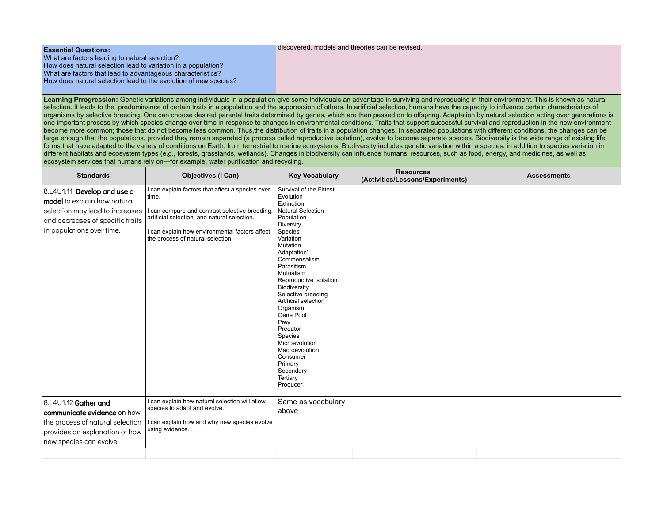| <b>Essential Questions:</b>                                      | discovered, models and theories can be revised. |
|------------------------------------------------------------------|-------------------------------------------------|
| What are factors leading to natural selection?                   |                                                 |
| How does natural selection lead to variation in a population?    |                                                 |
| What are factors that lead to advantageous characteristics?      |                                                 |
| How does natural selection lead to the evolution of new species? |                                                 |
|                                                                  |                                                 |

Learning Prrogression: Genetic variations among individuals in a population give some individuals an advantage in surviving and reproducing in their environment. This is known as natural selection. It leads to the predominance of certain traits in a population and the suppression of others. In artificial selection, humans have the capacity to influence certain characteristics of organisms by selective breeding. One can choose desired parental traits determined by genes, which are then passed on to offspring. Adaptation by natural selection acting over generations is  $\sim$  one important process by which species change over time in response to changes in environmental conditions. Traits that support successful survival and reproduction in the new environment become more common; those that do not become less common. Thus, the distribution of traits in a population changes. In separated populations with different conditions, the changes can be large enough that the populations, provided they remain separated (a process called reproductive isolation), evolve to become separate species. Biodiversity is the wide range of existing life forms that have adapted to the variety of conditions on Earth, from terrestrial to marine ecosystems. Biodiversity includes genetic variation within a species, in addition to species variation in different habitats and ecosystem types (e.g., forests, grasslands, wetlands). Changes in biodiversity can influence humans' resources, such as food, energy, and medicines, as well as ecosystem services that humans rely on—for example, water purification and recycling.

| <b>Standards</b>                                                                                                                                                | <b>Objectives (I Can)</b>                                                                                                                                                                                                                          | <b>Key Vocabulary</b>                                                                                                                                                                                                                                                                                                                                                                                                                                          | <b>Resources</b><br>(Activities/Lessons/Experiments) | <b>Assessments</b> |
|-----------------------------------------------------------------------------------------------------------------------------------------------------------------|----------------------------------------------------------------------------------------------------------------------------------------------------------------------------------------------------------------------------------------------------|----------------------------------------------------------------------------------------------------------------------------------------------------------------------------------------------------------------------------------------------------------------------------------------------------------------------------------------------------------------------------------------------------------------------------------------------------------------|------------------------------------------------------|--------------------|
| 8.L4U1.11 Develop and use a<br>model to explain how natural<br>selection may lead to increases<br>and decreases of specific traits<br>in populations over time. | I can explain factors that affect a species over<br>time.<br>I can compare and contrast selective breeding,<br>artificial selection, and natural selection.<br>I can explain how environmental factors affect<br>the process of natural selection. | Survival of the Fittest<br>Evolution<br>Extinction<br><b>Natural Selection</b><br>Population<br>Diversity<br>Species<br>Variation<br>Mutation<br>Adaptation'<br>Commensalism<br>Parasitism<br><b>Mutualism</b><br>Reproductive isolation<br>Biodiversity<br>Selective breeding<br>Artificial selection<br>Organism<br>Gene Pool<br>Prey<br>Predator<br>Species<br>Microevolution<br>Macroevolution<br>Consumer<br>Primary<br>Secondary<br>Tertiary<br>Producer |                                                      |                    |
| 8.L4U1.12 Gather and<br>communicate evidence on how<br>the process of natural selection<br>provides an explanation of how<br>new species can evolve.            | I can explain how natural selection will allow<br>species to adapt and evolve.<br>I can explain how and why new species evolve<br>using evidence.                                                                                                  | Same as vocabulary<br>above                                                                                                                                                                                                                                                                                                                                                                                                                                    |                                                      |                    |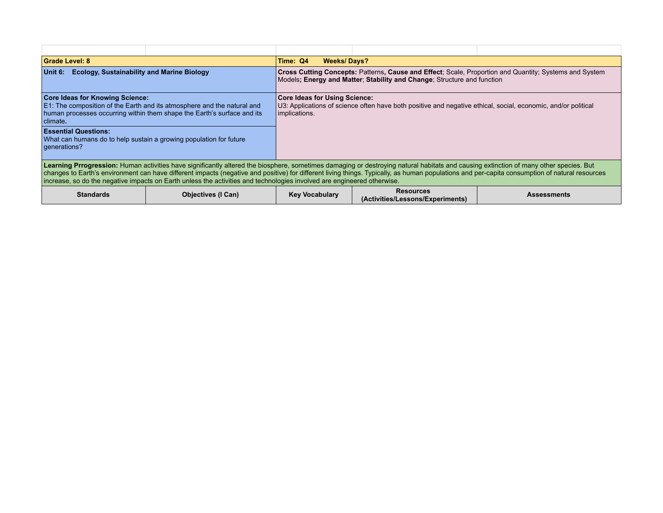| <b>Grade Level: 8</b>                                                                                                                                                                                                                                                                                                                                                                                                                                                                                              |                           | Time: Q4<br><b>Weeks/Days?</b>                                                                                                                                                    |                                                      |                    |  |  |  |
|--------------------------------------------------------------------------------------------------------------------------------------------------------------------------------------------------------------------------------------------------------------------------------------------------------------------------------------------------------------------------------------------------------------------------------------------------------------------------------------------------------------------|---------------------------|-----------------------------------------------------------------------------------------------------------------------------------------------------------------------------------|------------------------------------------------------|--------------------|--|--|--|
| <b>Ecology, Sustainability and Marine Biology</b><br>∣Unit 6:⊹                                                                                                                                                                                                                                                                                                                                                                                                                                                     |                           | Cross Cutting Concepts: Patterns, Cause and Effect; Scale, Proportion and Quantity; Systems and System<br>Models: Energy and Matter: Stability and Change: Structure and function |                                                      |                    |  |  |  |
| <b>Core Ideas for Knowing Science:</b><br>E1: The composition of the Earth and its atmosphere and the natural and<br>human processes occurring within them shape the Earth's surface and its<br>climate.                                                                                                                                                                                                                                                                                                           |                           | <b>Core Ideas for Using Science:</b><br>U3: Applications of science often have both positive and negative ethical, social, economic, and/or political<br>implications.            |                                                      |                    |  |  |  |
| <b>Essential Questions:</b><br>What can humans do to help sustain a growing population for future<br>generations?                                                                                                                                                                                                                                                                                                                                                                                                  |                           |                                                                                                                                                                                   |                                                      |                    |  |  |  |
| Learning Prrogression: Human activities have significantly altered the biosphere, sometimes damaging or destroying natural habitats and causing extinction of many other species. But<br>changes to Earth's environment can have different impacts (negative and positive) for different living things. Typically, as human populations and per-capita consumption of natural resources<br>increase, so do the negative impacts on Earth unless the activities and technologies involved are engineered otherwise. |                           |                                                                                                                                                                                   |                                                      |                    |  |  |  |
| <b>Standards</b>                                                                                                                                                                                                                                                                                                                                                                                                                                                                                                   | <b>Objectives (I Can)</b> | <b>Key Vocabulary</b>                                                                                                                                                             | <b>Resources</b><br>(Activities/Lessons/Experiments) | <b>Assessments</b> |  |  |  |